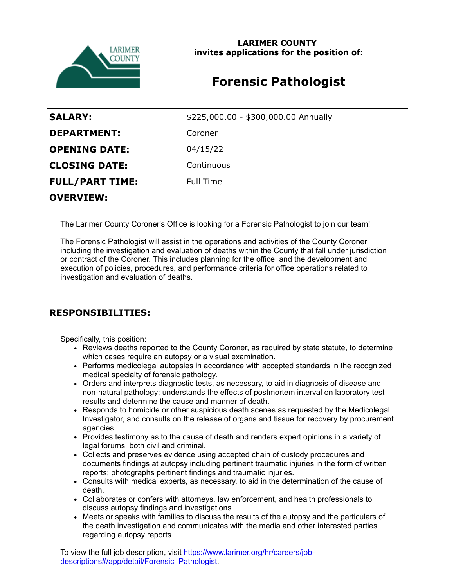

**LARIMER COUNTY invites applications for the position of:**

# **Forensic Pathologist**

| <b>SALARY:</b>         | \$225,000.00 - \$300,000.00 Annually |
|------------------------|--------------------------------------|
| <b>DEPARTMENT:</b>     | Coroner                              |
| <b>OPENING DATE:</b>   | 04/15/22                             |
| <b>CLOSING DATE:</b>   | Continuous                           |
| <b>FULL/PART TIME:</b> | <b>Full Time</b>                     |
|                        |                                      |

**OVERVIEW:**

The Larimer County Coroner's Office is looking for a Forensic Pathologist to join our team!

The Forensic Pathologist will assist in the operations and activities of the County Coroner including the investigation and evaluation of deaths within the County that fall under jurisdiction or contract of the Coroner. This includes planning for the office, and the development and execution of policies, procedures, and performance criteria for office operations related to investigation and evaluation of deaths.

## **RESPONSIBILITIES:**

Specifically, this position:

- Reviews deaths reported to the County Coroner, as required by state statute, to determine which cases require an autopsy or a visual examination.
- Performs medicolegal autopsies in accordance with accepted standards in the recognized medical specialty of forensic pathology.
- Orders and interprets diagnostic tests, as necessary, to aid in diagnosis of disease and non-natural pathology; understands the effects of postmortem interval on laboratory test results and determine the cause and manner of death.
- Responds to homicide or other suspicious death scenes as requested by the Medicolegal Investigator, and consults on the release of organs and tissue for recovery by procurement agencies.
- Provides testimony as to the cause of death and renders expert opinions in a variety of legal forums, both civil and criminal.
- Collects and preserves evidence using accepted chain of custody procedures and documents findings at autopsy including pertinent traumatic injuries in the form of written reports; photographs pertinent findings and traumatic injuries.
- Consults with medical experts, as necessary, to aid in the determination of the cause of death.
- Collaborates or confers with attorneys, law enforcement, and health professionals to discuss autopsy findings and investigations.
- Meets or speaks with families to discuss the results of the autopsy and the particulars of the death investigation and communicates with the media and other interested parties regarding autopsy reports.

[To view the full job description, visit https://www.larimer.org/hr/careers/job](https://www.larimer.org/hr/careers/job-descriptions#/app/detail/Forensic_Pathologist)descriptions#/app/detail/Forensic\_Pathologist.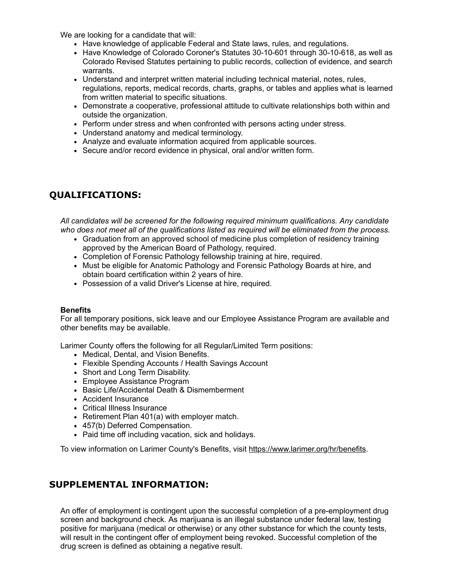We are looking for a candidate that will:

- Have knowledge of applicable Federal and State laws, rules, and regulations.
- Have Knowledge of Colorado Coroner's Statutes 30-10-601 through 30-10-618, as well as Colorado Revised Statutes pertaining to public records, collection of evidence, and search warrants.
- Understand and interpret written material including technical material, notes, rules, regulations, reports, medical records, charts, graphs, or tables and applies what is learned from written material to specific situations.
- Demonstrate a cooperative, professional attitude to cultivate relationships both within and outside the organization.
- Perform under stress and when confronted with persons acting under stress.
- Understand anatomy and medical terminology.
- Analyze and evaluate information acquired from applicable sources.
- Secure and/or record evidence in physical, oral and/or written form.

### **QUALIFICATIONS:**

*All candidates will be screened for the following required minimum qualifications. Any candidate who does not meet all of the qualifications listed as required will be eliminated from the process.*

- Graduation from an approved school of medicine plus completion of residency training approved by the American Board of Pathology, required.
- Completion of Forensic Pathology fellowship training at hire, required.
- Must be eligible for Anatomic Pathology and Forensic Pathology Boards at hire, and obtain board certification within 2 years of hire.
- Possession of a valid Driver's License at hire, required.

#### **Benefits**

For all temporary positions, sick leave and our Employee Assistance Program are available and other benefits may be available.

Larimer County offers the following for all Regular/Limited Term positions:

- Medical, Dental, and Vision Benefits.
- Flexible Spending Accounts / Health Savings Account
- Short and Long Term Disability.
- Employee Assistance Program
- Basic Life/Accidental Death & Dismemberment
- Accident Insurance
- Critical Illness Insurance
- Retirement Plan 401(a) with employer match.
- 457(b) Deferred Compensation.
- Paid time off including vacation, sick and holidays.

To view information on Larimer County's Benefits, visit [https://www.larimer.org/hr/benefits.](https://www.larimer.org/hr/benefits)

#### **SUPPLEMENTAL INFORMATION:**

An offer of employment is contingent upon the successful completion of a pre-employment drug screen and background check. As marijuana is an illegal substance under federal law, testing positive for marijuana (medical or otherwise) or any other substance for which the county tests, will result in the contingent offer of employment being revoked. Successful completion of the drug screen is defined as obtaining a negative result.